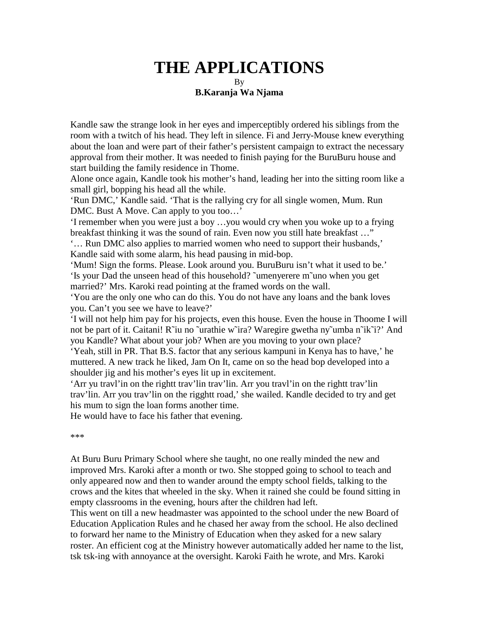## **THE APPLICATIONS** By **B.Karanja Wa Njama**

Kandle saw the strange look in her eyes and imperceptibly ordered his siblings from the room with a twitch of his head. They left in silence. Fi and Jerry-Mouse knew everything about the loan and were part of their father's persistent campaign to extract the necessary approval from their mother. It was needed to finish paying for the BuruBuru house and start building the family residence in Thome.

Alone once again, Kandle took his mother's hand, leading her into the sitting room like a small girl, bopping his head all the while.

'Run DMC,' Kandle said. 'That is the rallying cry for all single women, Mum. Run DMC. Bust A Move. Can apply to you too…'

'I remember when you were just a boy …you would cry when you woke up to a frying breakfast thinking it was the sound of rain. Even now you still hate breakfast …"

'… Run DMC also applies to married women who need to support their husbands,' Kandle said with some alarm, his head pausing in mid-bop.

'Mum! Sign the forms. Please. Look around you. BuruBuru isn't what it used to be.' 'Is your Dad the unseen head of this household? ˜umenyerere m˜uno when you get married?' Mrs. Karoki read pointing at the framed words on the wall.

'You are the only one who can do this. You do not have any loans and the bank loves you. Can't you see we have to leave?'

'I will not help him pay for his projects, even this house. Even the house in Thoome I will not be part of it. Caitani! R˜iu no ˜urathie w˜ira? Waregire gwetha ny˜umba n˜ik˜i?' And you Kandle? What about your job? When are you moving to your own place?

'Yeah, still in PR. That B.S. factor that any serious kampuni in Kenya has to have,' he muttered. A new track he liked, Jam On It, came on so the head bop developed into a shoulder jig and his mother's eyes lit up in excitement.

'Arr yu travl'in on the rightt trav'lin trav'lin. Arr you travl'in on the rightt trav'lin trav'lin. Arr you trav'lin on the rigghtt road,' she wailed. Kandle decided to try and get his mum to sign the loan forms another time.

He would have to face his father that evening.

\*\*\*

At Buru Buru Primary School where she taught, no one really minded the new and improved Mrs. Karoki after a month or two. She stopped going to school to teach and only appeared now and then to wander around the empty school fields, talking to the crows and the kites that wheeled in the sky. When it rained she could be found sitting in empty classrooms in the evening, hours after the children had left.

This went on till a new headmaster was appointed to the school under the new Board of Education Application Rules and he chased her away from the school. He also declined to forward her name to the Ministry of Education when they asked for a new salary roster. An efficient cog at the Ministry however automatically added her name to the list, tsk tsk-ing with annoyance at the oversight. Karoki Faith he wrote, and Mrs. Karoki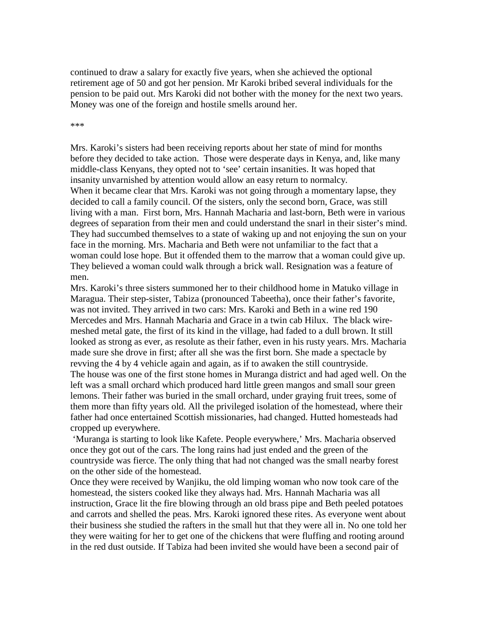continued to draw a salary for exactly five years, when she achieved the optional retirement age of 50 and got her pension. Mr Karoki bribed several individuals for the pension to be paid out. Mrs Karoki did not bother with the money for the next two years. Money was one of the foreign and hostile smells around her.

\*\*\*

Mrs. Karoki's sisters had been receiving reports about her state of mind for months before they decided to take action. Those were desperate days in Kenya, and, like many middle-class Kenyans, they opted not to 'see' certain insanities. It was hoped that insanity unvarnished by attention would allow an easy return to normalcy. When it became clear that Mrs. Karoki was not going through a momentary lapse, they decided to call a family council. Of the sisters, only the second born, Grace, was still living with a man. First born, Mrs. Hannah Macharia and last-born, Beth were in various degrees of separation from their men and could understand the snarl in their sister's mind. They had succumbed themselves to a state of waking up and not enjoying the sun on your face in the morning. Mrs. Macharia and Beth were not unfamiliar to the fact that a woman could lose hope. But it offended them to the marrow that a woman could give up. They believed a woman could walk through a brick wall. Resignation was a feature of men.

Mrs. Karoki's three sisters summoned her to their childhood home in Matuko village in Maragua. Their step-sister, Tabiza (pronounced Tabeetha), once their father's favorite, was not invited. They arrived in two cars: Mrs. Karoki and Beth in a wine red 190 Mercedes and Mrs. Hannah Macharia and Grace in a twin cab Hilux. The black wiremeshed metal gate, the first of its kind in the village, had faded to a dull brown. It still looked as strong as ever, as resolute as their father, even in his rusty years. Mrs. Macharia made sure she drove in first; after all she was the first born. She made a spectacle by revving the 4 by 4 vehicle again and again, as if to awaken the still countryside. The house was one of the first stone homes in Muranga district and had aged well. On the left was a small orchard which produced hard little green mangos and small sour green lemons. Their father was buried in the small orchard, under graying fruit trees, some of them more than fifty years old. All the privileged isolation of the homestead, where their father had once entertained Scottish missionaries, had changed. Hutted homesteads had cropped up everywhere.

 'Muranga is starting to look like Kafete. People everywhere,' Mrs. Macharia observed once they got out of the cars. The long rains had just ended and the green of the countryside was fierce. The only thing that had not changed was the small nearby forest on the other side of the homestead.

Once they were received by Wanjiku, the old limping woman who now took care of the homestead, the sisters cooked like they always had. Mrs. Hannah Macharia was all instruction, Grace lit the fire blowing through an old brass pipe and Beth peeled potatoes and carrots and shelled the peas. Mrs. Karoki ignored these rites. As everyone went about their business she studied the rafters in the small hut that they were all in. No one told her they were waiting for her to get one of the chickens that were fluffing and rooting around in the red dust outside. If Tabiza had been invited she would have been a second pair of